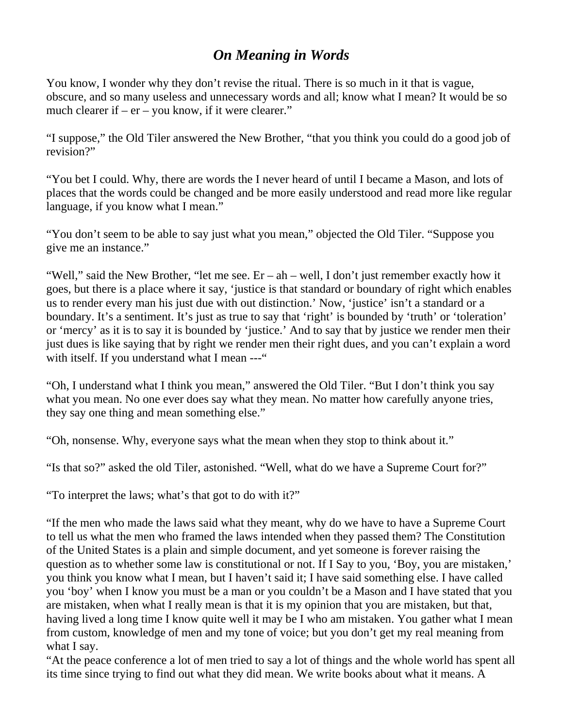## *On Meaning in Words*

You know, I wonder why they don't revise the ritual. There is so much in it that is vague, obscure, and so many useless and unnecessary words and all; know what I mean? It would be so much clearer if –  $er - you know$ , if it were clearer."

"I suppose," the Old Tiler answered the New Brother, "that you think you could do a good job of revision?"

"You bet I could. Why, there are words the I never heard of until I became a Mason, and lots of places that the words could be changed and be more easily understood and read more like regular language, if you know what I mean."

"You don't seem to be able to say just what you mean," objected the Old Tiler. "Suppose you give me an instance."

"Well," said the New Brother, "let me see. Er – ah – well, I don't just remember exactly how it goes, but there is a place where it say, 'justice is that standard or boundary of right which enables us to render every man his just due with out distinction.' Now, 'justice' isn't a standard or a boundary. It's a sentiment. It's just as true to say that 'right' is bounded by 'truth' or 'toleration' or 'mercy' as it is to say it is bounded by 'justice.' And to say that by justice we render men their just dues is like saying that by right we render men their right dues, and you can't explain a word with itself. If you understand what I mean ---"

"Oh, I understand what I think you mean," answered the Old Tiler. "But I don't think you say what you mean. No one ever does say what they mean. No matter how carefully anyone tries, they say one thing and mean something else."

"Oh, nonsense. Why, everyone says what the mean when they stop to think about it."

"Is that so?" asked the old Tiler, astonished. "Well, what do we have a Supreme Court for?"

"To interpret the laws; what's that got to do with it?"

"If the men who made the laws said what they meant, why do we have to have a Supreme Court to tell us what the men who framed the laws intended when they passed them? The Constitution of the United States is a plain and simple document, and yet someone is forever raising the question as to whether some law is constitutional or not. If I Say to you, 'Boy, you are mistaken,' you think you know what I mean, but I haven't said it; I have said something else. I have called you 'boy' when I know you must be a man or you couldn't be a Mason and I have stated that you are mistaken, when what I really mean is that it is my opinion that you are mistaken, but that, having lived a long time I know quite well it may be I who am mistaken. You gather what I mean from custom, knowledge of men and my tone of voice; but you don't get my real meaning from what I say.

"At the peace conference a lot of men tried to say a lot of things and the whole world has spent all its time since trying to find out what they did mean. We write books about what it means. A